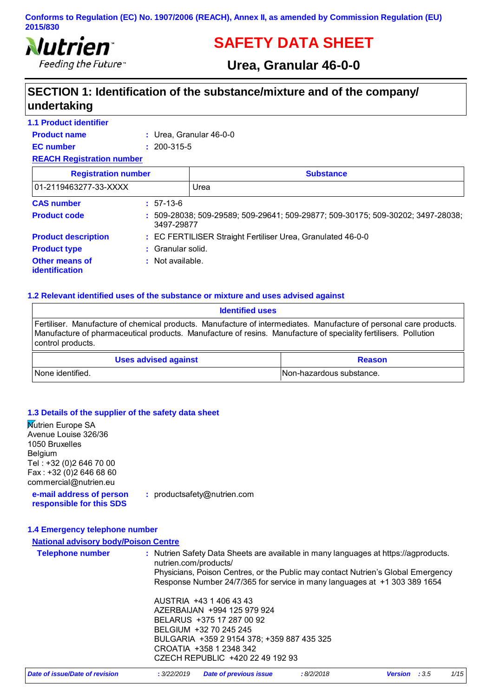

# **SAFETY DATA SHEET**

# **Urea, Granular 46-0-0**

# **SECTION 1: Identification of the substance/mixture and of the company/ undertaking**

| <b>1.1 Product identifier</b>           |                   |                                                                                    |
|-----------------------------------------|-------------------|------------------------------------------------------------------------------------|
| <b>Product name</b>                     |                   | : Urea. Granular $46-0-0$                                                          |
| <b>EC</b> number                        | $: 200 - 315 - 5$ |                                                                                    |
| <b>REACH Registration number</b>        |                   |                                                                                    |
| <b>Registration number</b>              |                   | <b>Substance</b>                                                                   |
| 01-2119463277-33-XXXX                   |                   | Urea                                                                               |
| <b>CAS number</b>                       | $: 57-13-6$       |                                                                                    |
| <b>Product code</b>                     | 3497-29877        | $: 509-28038$ ; 509-29589; 509-29641; 509-29877; 509-30175; 509-30202; 3497-28038; |
| <b>Product description</b>              |                   | : EC FERTILISER Straight Fertiliser Urea, Granulated 46-0-0                        |
| <b>Product type</b>                     | : Granular solid. |                                                                                    |
| Other means of<br><b>identification</b> | : Not available.  |                                                                                    |

#### **1.2 Relevant identified uses of the substance or mixture and uses advised against**

| <b>Identified uses</b>                                                                                                                                                                                                                                     |                           |  |
|------------------------------------------------------------------------------------------------------------------------------------------------------------------------------------------------------------------------------------------------------------|---------------------------|--|
| Fertiliser. Manufacture of chemical products. Manufacture of intermediates. Manufacture of personal care products.<br>Manufacture of pharmaceutical products. Manufacture of resins. Manufacture of speciality fertilisers. Pollution<br>control products. |                           |  |
| <b>Uses advised against</b><br><b>Reason</b>                                                                                                                                                                                                               |                           |  |
| l None identified.                                                                                                                                                                                                                                         | INon-hazardous substance. |  |

#### **1.3 Details of the supplier of the safety data sheet**

**Nutrien Europe SA** Avenue Louise 326/36 1050 Bruxelles Belgium Tel : +32 (0)2 646 70 00 Fax : +32 (0)2 646 68 60 commercial@nutrien.eu

**e-mail address of person responsible for this SDS :** productsafety@nutrien.com

#### **1.4 Emergency telephone number**

#### **National advisory body/Poison Centre**

| <b>Telephone number</b> | : Nutrien Safety Data Sheets are available in many languages at https://agproducts.<br>nutrien.com/products/<br>Physicians, Poison Centres, or the Public may contact Nutrien's Global Emergency<br>Response Number 24/7/365 for service in many languages at +1 303 389 1654 |
|-------------------------|-------------------------------------------------------------------------------------------------------------------------------------------------------------------------------------------------------------------------------------------------------------------------------|
|                         | AUSTRIA +43 1 406 43 43<br>AZERBAIJAN +994 125 979 924<br>BELARUS +375 17 287 00 92<br>BELGIUM +32 70 245 245<br>BULGARIA +359 2 9154 378; +359 887 435 325<br>CROATIA +358 1 2348 342<br>CZECH REPUBLIC +420 22 49 192 93                                                    |

| Date of issue/Date of revision | : 3/22/2019 Date of previous issue | : 8/2/2018 | <b>Version</b> : 3.5 | 1/15 |
|--------------------------------|------------------------------------|------------|----------------------|------|
|--------------------------------|------------------------------------|------------|----------------------|------|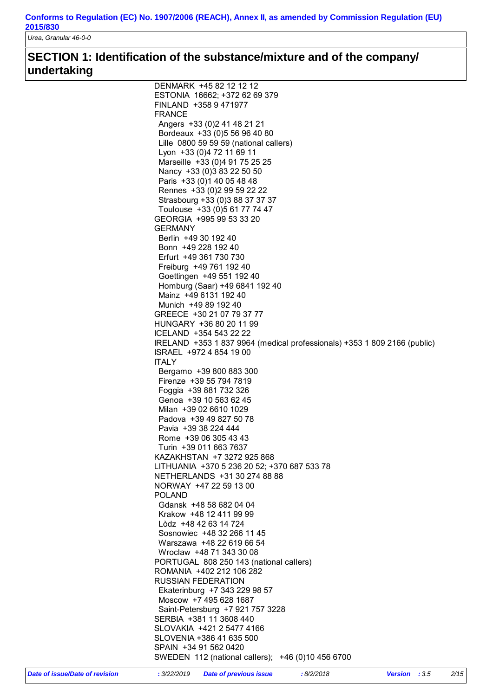*Urea, Granular 46-0-0*

# **SECTION 1: Identification of the substance/mixture and of the company/ undertaking**

|               | SLOVAKIA +421 2 5477 4166<br>SLOVENIA +386 41 635 500                                               |  |  |
|---------------|-----------------------------------------------------------------------------------------------------|--|--|
|               |                                                                                                     |  |  |
|               | SERBIA +381 11 3608 440                                                                             |  |  |
|               | Saint-Petersburg +7 921 757 3228                                                                    |  |  |
|               | Moscow +7 495 628 1687                                                                              |  |  |
|               | <b>RUSSIAN FEDERATION</b><br>Ekaterinburg +7 343 229 98 57                                          |  |  |
|               | ROMANIA +402 212 106 282                                                                            |  |  |
|               | PORTUGAL 808 250 143 (national callers)                                                             |  |  |
|               | Wroclaw +48 71 343 30 08                                                                            |  |  |
|               | Warszawa +48 22 619 66 54                                                                           |  |  |
|               | Lòdz +48 42 63 14 724<br>Sosnowiec +48 32 266 11 45                                                 |  |  |
|               | Krakow +48 12 411 99 99                                                                             |  |  |
|               | Gdansk +48 58 682 04 04                                                                             |  |  |
| <b>POLAND</b> |                                                                                                     |  |  |
|               | NORWAY +47 22 59 13 00                                                                              |  |  |
|               | NETHERLANDS +31 30 274 88 88                                                                        |  |  |
|               | KAZAKHSTAN +7 3272 925 868<br>LITHUANIA +370 5 236 20 52; +370 687 533 78                           |  |  |
|               | Turin +39 011 663 7637                                                                              |  |  |
|               | Rome +39 06 305 43 43                                                                               |  |  |
|               | Pavia +39 38 224 444                                                                                |  |  |
|               | Milan +39 02 6610 1029<br>Padova +39 49 827 50 78                                                   |  |  |
|               | Genoa +39 10 563 62 45                                                                              |  |  |
|               | Foggia +39 881 732 326                                                                              |  |  |
|               | Firenze +39 55 794 7819                                                                             |  |  |
|               | Bergamo +39 800 883 300                                                                             |  |  |
| <b>ITALY</b>  |                                                                                                     |  |  |
|               | IRELAND +353 1 837 9964 (medical professionals) +353 1 809 2166 (public)<br>ISRAEL +972 4 854 19 00 |  |  |
|               | ICELAND +354 543 22 22                                                                              |  |  |
|               | HUNGARY +36 80 20 11 99                                                                             |  |  |
|               | GREECE +30 21 07 79 37 77                                                                           |  |  |
|               | Munich +49 89 192 40                                                                                |  |  |
|               | Homburg (Saar) +49 6841 192 40<br>Mainz +49 6131 192 40                                             |  |  |
|               | Goettingen +49 551 192 40                                                                           |  |  |
|               | Freiburg +49 761 192 40                                                                             |  |  |
|               | Erfurt +49 361 730 730                                                                              |  |  |
|               | Bonn +49 228 192 40                                                                                 |  |  |
|               | Berlin +49 30 192 40                                                                                |  |  |
| GERMANY       |                                                                                                     |  |  |
|               | Toulouse +33 (0)5 61 77 74 47<br>GEORGIA +995 99 53 33 20                                           |  |  |
|               | Strasbourg +33 (0)3 88 37 37 37                                                                     |  |  |
|               | Rennes +33 (0) 2 99 59 22 22                                                                        |  |  |
|               | Paris +33 (0) 1 40 05 48 48                                                                         |  |  |
|               | Nancy +33 (0) 3 83 22 50 50                                                                         |  |  |
|               | Marseille +33 (0)4 91 75 25 25                                                                      |  |  |
|               | Lille 0800 59 59 59 (national callers)<br>Lyon +33 (0)4 72 11 69 11                                 |  |  |
|               | Bordeaux +33 (0) 5 56 96 40 80                                                                      |  |  |
|               | Angers +33 (0) 241 48 21 21                                                                         |  |  |
| <b>FRANCE</b> |                                                                                                     |  |  |
|               | ESTONIA 16662; +372 62 69 379<br>FINLAND +358 9 471977                                              |  |  |
|               |                                                                                                     |  |  |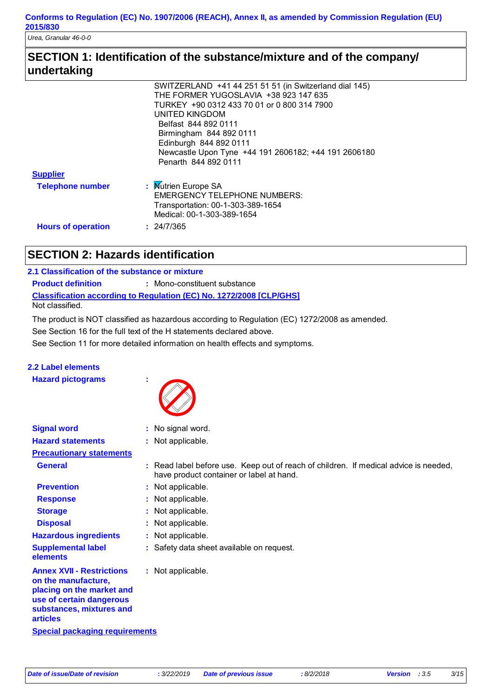*Urea, Granular 46-0-0*

## **SECTION 1: Identification of the substance/mixture and of the company/ undertaking**

|                           | SWITZERLAND +41 44 251 51 51 (in Switzerland dial 145) |
|---------------------------|--------------------------------------------------------|
|                           | THE FORMER YUGOSLAVIA +38 923 147 635                  |
|                           | TURKEY +90 0312 433 70 01 or 0 800 314 7900            |
|                           | UNITED KINGDOM                                         |
|                           | Belfast 844 892 0111                                   |
|                           | Birmingham 844 892 0111                                |
|                           | Edinburgh 844 892 0111                                 |
|                           | Newcastle Upon Tyne +44 191 2606182; +44 191 2606180   |
|                           | Penarth 844 892 0111                                   |
| <b>Supplier</b>           |                                                        |
| <b>Telephone number</b>   | : Mutrien Europe SA                                    |
|                           | <b>EMERGENCY TELEPHONE NUMBERS:</b>                    |
|                           | Transportation: 00-1-303-389-1654                      |
|                           | Medical: 00-1-303-389-1654                             |
|                           | : 24/7/365                                             |
| <b>Hours of operation</b> |                                                        |
|                           |                                                        |

# **SECTION 2: Hazards identification**

| 2.1 Classification of the substance or mixture |                                                                            |
|------------------------------------------------|----------------------------------------------------------------------------|
| <b>Product definition</b>                      | : Mono-constituent substance                                               |
|                                                | <b>Classification according to Regulation (EC) No. 1272/2008 [CLP/GHS]</b> |
| Not classified.                                |                                                                            |

The product is NOT classified as hazardous according to Regulation (EC) 1272/2008 as amended.

See Section 16 for the full text of the H statements declared above.

See Section 11 for more detailed information on health effects and symptoms.

### **2.2 Label elements**

**Signal word :**

**Hazard pictograms :**



: No signal word.

| <b>Hazard statements</b>                                                                                                                                        | : Not applicable.                                                                                                                |
|-----------------------------------------------------------------------------------------------------------------------------------------------------------------|----------------------------------------------------------------------------------------------------------------------------------|
| <b>Precautionary statements</b>                                                                                                                                 |                                                                                                                                  |
| <b>General</b>                                                                                                                                                  | : Read label before use. Keep out of reach of children. If medical advice is needed,<br>have product container or label at hand. |
| <b>Prevention</b>                                                                                                                                               | : Not applicable.                                                                                                                |
| <b>Response</b>                                                                                                                                                 | : Not applicable.                                                                                                                |
| <b>Storage</b>                                                                                                                                                  | : Not applicable.                                                                                                                |
| <b>Disposal</b>                                                                                                                                                 | : Not applicable.                                                                                                                |
| <b>Hazardous ingredients</b>                                                                                                                                    | : Not applicable.                                                                                                                |
| <b>Supplemental label</b><br><b>elements</b>                                                                                                                    | : Safety data sheet available on request.                                                                                        |
| <b>Annex XVII - Restrictions</b><br>on the manufacture.<br>placing on the market and<br>use of certain dangerous<br>substances, mixtures and<br><b>articles</b> | : Not applicable.                                                                                                                |
| <b>Special packaging requirements</b>                                                                                                                           |                                                                                                                                  |
|                                                                                                                                                                 |                                                                                                                                  |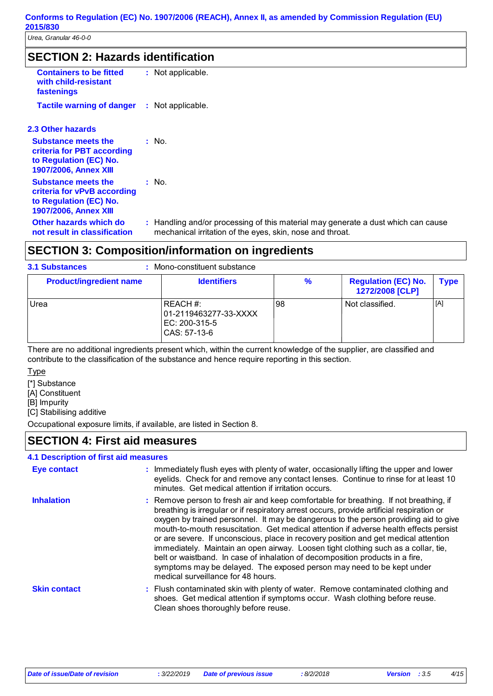*Urea, Granular 46-0-0*

### **SECTION 2: Hazards identification**

| <b>Containers to be fitted</b><br>with child-resistant<br>fastenings                                                | : Not applicable.                                    |
|---------------------------------------------------------------------------------------------------------------------|------------------------------------------------------|
| <b>Tactile warning of danger</b>                                                                                    | : Not applicable.                                    |
| 2.3 Other hazards                                                                                                   |                                                      |
| <b>Substance meets the</b><br>criteria for PBT according<br>to Regulation (EC) No.<br><b>1907/2006. Annex XIII</b>  | : No.                                                |
| <b>Substance meets the</b><br>criteria for vPvB according<br>to Regulation (EC) No.<br><b>1907/2006, Annex XIII</b> | : No.                                                |
| Other hazards which do<br>not result in classification                                                              | : Handling and/or proces<br>mechanical irritation of |

### ssing of this material may generate a dust which can cause the eyes, skin, nose and throat.

## **SECTION 3: Composition/information on ingredients**

#### Mono-constituent substance **: 3.1 Substances Product/ingredient name** Urea  $|$  REACH #: 01-2119463277-33-XXXX EC: 200-315-5 CAS: 57-13-6 98 | Not classified. | [A] **Identifiers**  $\begin{array}{ccc} \hline \end{array}$  **%** Regulation (EC) No. | Type **1272/2008 [CLP]**

There are no additional ingredients present which, within the current knowledge of the supplier, are classified and contribute to the classification of the substance and hence require reporting in this section.

Type

[\*] Substance

[A] Constituent

[B] Impurity

[C] Stabilising additive

Occupational exposure limits, if available, are listed in Section 8.

### **SECTION 4: First aid measures**

### **4.1 Description of first aid measures**

| Eye contact         | : Immediately flush eyes with plenty of water, occasionally lifting the upper and lower<br>eyelids. Check for and remove any contact lenses. Continue to rinse for at least 10<br>minutes. Get medical attention if irritation occurs.                                                                                                                                                                                                                                                                                                                                                                                                                                                                                                           |  |
|---------------------|--------------------------------------------------------------------------------------------------------------------------------------------------------------------------------------------------------------------------------------------------------------------------------------------------------------------------------------------------------------------------------------------------------------------------------------------------------------------------------------------------------------------------------------------------------------------------------------------------------------------------------------------------------------------------------------------------------------------------------------------------|--|
| <b>Inhalation</b>   | : Remove person to fresh air and keep comfortable for breathing. If not breathing, if<br>breathing is irregular or if respiratory arrest occurs, provide artificial respiration or<br>oxygen by trained personnel. It may be dangerous to the person providing aid to give<br>mouth-to-mouth resuscitation. Get medical attention if adverse health effects persist<br>or are severe. If unconscious, place in recovery position and get medical attention<br>immediately. Maintain an open airway. Loosen tight clothing such as a collar, tie,<br>belt or waistband. In case of inhalation of decomposition products in a fire,<br>symptoms may be delayed. The exposed person may need to be kept under<br>medical surveillance for 48 hours. |  |
| <b>Skin contact</b> | : Flush contaminated skin with plenty of water. Remove contaminated clothing and<br>shoes. Get medical attention if symptoms occur. Wash clothing before reuse.<br>Clean shoes thoroughly before reuse.                                                                                                                                                                                                                                                                                                                                                                                                                                                                                                                                          |  |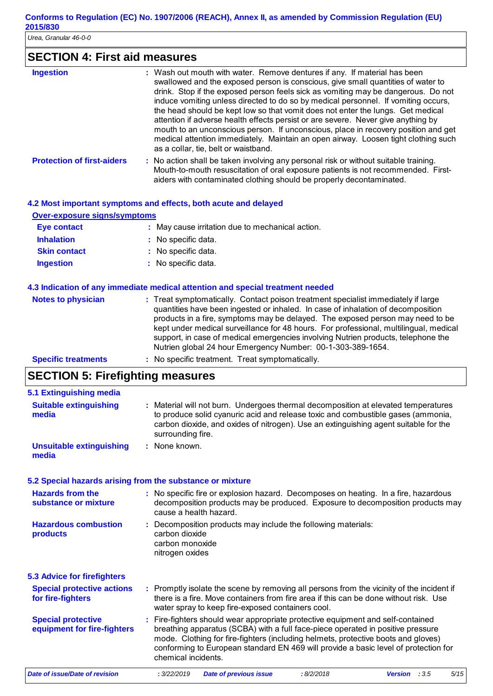*Urea, Granular 46-0-0*

# **SECTION 4: First aid measures**

| <b>Ingestion</b>                  | : Wash out mouth with water. Remove dentures if any. If material has been<br>swallowed and the exposed person is conscious, give small quantities of water to<br>drink. Stop if the exposed person feels sick as vomiting may be dangerous. Do not<br>induce vomiting unless directed to do so by medical personnel. If vomiting occurs,<br>the head should be kept low so that vomit does not enter the lungs. Get medical<br>attention if adverse health effects persist or are severe. Never give anything by<br>mouth to an unconscious person. If unconscious, place in recovery position and get<br>medical attention immediately. Maintain an open airway. Loosen tight clothing such<br>as a collar, tie, belt or waistband. |
|-----------------------------------|--------------------------------------------------------------------------------------------------------------------------------------------------------------------------------------------------------------------------------------------------------------------------------------------------------------------------------------------------------------------------------------------------------------------------------------------------------------------------------------------------------------------------------------------------------------------------------------------------------------------------------------------------------------------------------------------------------------------------------------|
| <b>Protection of first-aiders</b> | : No action shall be taken involving any personal risk or without suitable training.<br>Mouth-to-mouth resuscitation of oral exposure patients is not recommended. First-                                                                                                                                                                                                                                                                                                                                                                                                                                                                                                                                                            |

aiders with contaminated clothing should be properly decontaminated.

#### **4.2 Most important symptoms and effects, both acute and delayed**

|                                     | tie moot important offinitionile and chootel both agate and delafed                                                                                                                                                                                                                                                                                                                                                                |
|-------------------------------------|------------------------------------------------------------------------------------------------------------------------------------------------------------------------------------------------------------------------------------------------------------------------------------------------------------------------------------------------------------------------------------------------------------------------------------|
| <b>Over-exposure signs/symptoms</b> |                                                                                                                                                                                                                                                                                                                                                                                                                                    |
| <b>Eye contact</b>                  | : May cause irritation due to mechanical action.                                                                                                                                                                                                                                                                                                                                                                                   |
| <b>Inhalation</b>                   | : No specific data.                                                                                                                                                                                                                                                                                                                                                                                                                |
| <b>Skin contact</b>                 | : No specific data.                                                                                                                                                                                                                                                                                                                                                                                                                |
| <b>Ingestion</b>                    | : No specific data.                                                                                                                                                                                                                                                                                                                                                                                                                |
|                                     |                                                                                                                                                                                                                                                                                                                                                                                                                                    |
| <b>Notes to physician</b>           | 4.3 Indication of any immediate medical attention and special treatment needed<br>: Treat symptomatically. Contact poison treatment specialist immediately if large<br>quantities have been ingested or inhaled. In case of inhalation of decomposition<br>products in a fire, symptoms may be delayed. The exposed person may need to be<br>kept under medical surveillance for 48 hours. For professional, multilingual, medical |
|                                     | support, in case of medical emergencies involving Nutrien products, telephone the<br>Nutrien global 24 hour Emergency Number: 00-1-303-389-1654.                                                                                                                                                                                                                                                                                   |
| <b>Specific treatments</b>          | : No specific treatment. Treat symptomatically.                                                                                                                                                                                                                                                                                                                                                                                    |

# **SECTION 5: Firefighting measures**

| 5.1 Extinguishing media                                                                                                                                                                                                                            |  |                                                                                                                                                                                                                                                                                                                                                                       |  |  |  |  |
|----------------------------------------------------------------------------------------------------------------------------------------------------------------------------------------------------------------------------------------------------|--|-----------------------------------------------------------------------------------------------------------------------------------------------------------------------------------------------------------------------------------------------------------------------------------------------------------------------------------------------------------------------|--|--|--|--|
| <b>Suitable extinguishing</b><br>media                                                                                                                                                                                                             |  | : Material will not burn. Undergoes thermal decomposition at elevated temperatures<br>to produce solid cyanuric acid and release toxic and combustible gases (ammonia,<br>carbon dioxide, and oxides of nitrogen). Use an extinguishing agent suitable for the<br>surrounding fire.                                                                                   |  |  |  |  |
| <b>Unsuitable extinguishing</b><br>media                                                                                                                                                                                                           |  | : None known.                                                                                                                                                                                                                                                                                                                                                         |  |  |  |  |
| 5.2 Special hazards arising from the substance or mixture                                                                                                                                                                                          |  |                                                                                                                                                                                                                                                                                                                                                                       |  |  |  |  |
| <b>Hazards from the</b><br>: No specific fire or explosion hazard. Decomposes on heating. In a fire, hazardous<br>decomposition products may be produced. Exposure to decomposition products may<br>substance or mixture<br>cause a health hazard. |  |                                                                                                                                                                                                                                                                                                                                                                       |  |  |  |  |
| <b>Hazardous combustion</b><br>products                                                                                                                                                                                                            |  | : Decomposition products may include the following materials:<br>carbon dioxide<br>carbon monoxide<br>nitrogen oxides                                                                                                                                                                                                                                                 |  |  |  |  |
| <b>5.3 Advice for firefighters</b>                                                                                                                                                                                                                 |  |                                                                                                                                                                                                                                                                                                                                                                       |  |  |  |  |
| <b>Special protective actions</b><br>for fire-fighters                                                                                                                                                                                             |  | : Promptly isolate the scene by removing all persons from the vicinity of the incident if<br>there is a fire. Move containers from fire area if this can be done without risk. Use<br>water spray to keep fire-exposed containers cool.                                                                                                                               |  |  |  |  |
| <b>Special protective</b><br>equipment for fire-fighters                                                                                                                                                                                           |  | : Fire-fighters should wear appropriate protective equipment and self-contained<br>breathing apparatus (SCBA) with a full face-piece operated in positive pressure<br>mode. Clothing for fire-fighters (including helmets, protective boots and gloves)<br>conforming to European standard EN 469 will provide a basic level of protection for<br>chemical incidents. |  |  |  |  |
| Date of issue/Date of revision                                                                                                                                                                                                                     |  | : 3/22/2019<br>:8/2/2018<br>5/15<br><b>Date of previous issue</b><br><b>Version</b> : $3.5$                                                                                                                                                                                                                                                                           |  |  |  |  |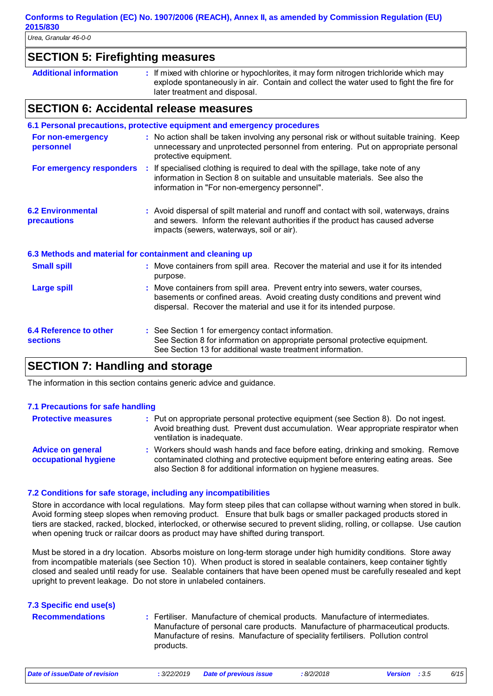### **SECTION 5: Firefighting measures**

| : If mixed with chlorine or hypochlorites, it may form nitrogen trichloride which may<br><b>Additional information</b><br>explode spontaneously in air. Contain and collect the water used to fight the fire for<br>later treatment and disposal. |
|---------------------------------------------------------------------------------------------------------------------------------------------------------------------------------------------------------------------------------------------------|
|---------------------------------------------------------------------------------------------------------------------------------------------------------------------------------------------------------------------------------------------------|

### **SECTION 6: Accidental release measures**

|                                                          |                                                                                                                                                                                                        | 6.1 Personal precautions, protective equipment and emergency procedures                                                                                                                                                                    |
|----------------------------------------------------------|--------------------------------------------------------------------------------------------------------------------------------------------------------------------------------------------------------|--------------------------------------------------------------------------------------------------------------------------------------------------------------------------------------------------------------------------------------------|
| For non-emergency<br>personnel                           | : No action shall be taken involving any personal risk or without suitable training. Keep<br>unnecessary and unprotected personnel from entering. Put on appropriate personal<br>protective equipment. |                                                                                                                                                                                                                                            |
|                                                          |                                                                                                                                                                                                        | For emergency responders : If specialised clothing is required to deal with the spillage, take note of any<br>information in Section 8 on suitable and unsuitable materials. See also the<br>information in "For non-emergency personnel". |
| <b>6.2 Environmental</b><br>precautions                  |                                                                                                                                                                                                        | : Avoid dispersal of spilt material and runoff and contact with soil, waterways, drains<br>and sewers. Inform the relevant authorities if the product has caused adverse<br>impacts (sewers, waterways, soil or air).                      |
| 6.3 Methods and material for containment and cleaning up |                                                                                                                                                                                                        |                                                                                                                                                                                                                                            |
| <b>Small spill</b>                                       |                                                                                                                                                                                                        | : Move containers from spill area. Recover the material and use it for its intended<br>purpose.                                                                                                                                            |
| <b>Large spill</b>                                       |                                                                                                                                                                                                        | : Move containers from spill area. Prevent entry into sewers, water courses,<br>basements or confined areas. Avoid creating dusty conditions and prevent wind<br>dispersal. Recover the material and use it for its intended purpose.      |
| <b>6.4 Reference to other</b><br><b>sections</b>         |                                                                                                                                                                                                        | : See Section 1 for emergency contact information.<br>See Section 8 for information on appropriate personal protective equipment.<br>See Section 13 for additional waste treatment information.                                            |
| CEOTION 7. Hereallings and atoms                         |                                                                                                                                                                                                        |                                                                                                                                                                                                                                            |

### **SECTION 7: Handling and storage**

The information in this section contains generic advice and guidance.

### **7.1 Precautions for safe handling**

| <b>Protective measures</b>                       | : Put on appropriate personal protective equipment (see Section 8). Do not ingest.<br>Avoid breathing dust. Prevent dust accumulation. Wear appropriate respirator when<br>ventilation is inadequate.                                  |
|--------------------------------------------------|----------------------------------------------------------------------------------------------------------------------------------------------------------------------------------------------------------------------------------------|
| <b>Advice on general</b><br>occupational hygiene | : Workers should wash hands and face before eating, drinking and smoking. Remove<br>contaminated clothing and protective equipment before entering eating areas. See<br>also Section 8 for additional information on hygiene measures. |

### **7.2 Conditions for safe storage, including any incompatibilities**

Store in accordance with local regulations. May form steep piles that can collapse without warning when stored in bulk. Avoid forming steep slopes when removing product. Ensure that bulk bags or smaller packaged products stored in tiers are stacked, racked, blocked, interlocked, or otherwise secured to prevent sliding, rolling, or collapse. Use caution when opening truck or railcar doors as product may have shifted during transport.

Must be stored in a dry location. Absorbs moisture on long-term storage under high humidity conditions. Store away from incompatible materials (see Section 10). When product is stored in sealable containers, keep container tightly closed and sealed until ready for use. Sealable containers that have been opened must be carefully resealed and kept upright to prevent leakage. Do not store in unlabeled containers.

| 7.3 Specific end use(s) |                                                                                                                                                                                                                                                                 |
|-------------------------|-----------------------------------------------------------------------------------------------------------------------------------------------------------------------------------------------------------------------------------------------------------------|
| <b>Recommendations</b>  | : Fertiliser. Manufacture of chemical products. Manufacture of intermediates.<br>Manufacture of personal care products. Manufacture of pharmaceutical products.<br>Manufacture of resins. Manufacture of speciality fertilisers. Pollution control<br>products. |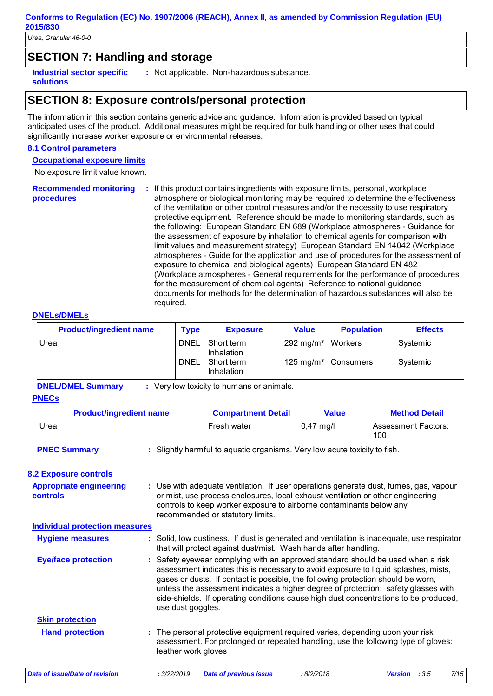*Urea, Granular 46-0-0*

### **SECTION 7: Handling and storage**

**Industrial sector specific : solutions**

: Not applicable. Non-hazardous substance.

### **SECTION 8: Exposure controls/personal protection**

The information in this section contains generic advice and guidance. Information is provided based on typical anticipated uses of the product. Additional measures might be required for bulk handling or other uses that could significantly increase worker exposure or environmental releases.

#### **8.1 Control parameters**

**Occupational exposure limits**

No exposure limit value known.

**Recommended monitoring procedures :** If this product contains ingredients with exposure limits, personal, workplace atmosphere or biological monitoring may be required to determine the effectiveness of the ventilation or other control measures and/or the necessity to use respiratory protective equipment. Reference should be made to monitoring standards, such as the following: European Standard EN 689 (Workplace atmospheres - Guidance for the assessment of exposure by inhalation to chemical agents for comparison with limit values and measurement strategy) European Standard EN 14042 (Workplace atmospheres - Guide for the application and use of procedures for the assessment of exposure to chemical and biological agents) European Standard EN 482 (Workplace atmospheres - General requirements for the performance of procedures for the measurement of chemical agents) Reference to national guidance documents for methods for the determination of hazardous substances will also be required.

#### **DNELs/DMELs**

| <b>Product/ingredient name</b> | <b>Type</b> | <b>Exposure</b>            | <b>Value</b>                    | <b>Population</b>               | <b>Effects</b> |
|--------------------------------|-------------|----------------------------|---------------------------------|---------------------------------|----------------|
| Urea                           | <b>DNEL</b> | l Short term<br>Inhalation | 292 mg/m <sup>3</sup>   Workers |                                 | Systemic       |
|                                | <b>DNEL</b> | I Short term<br>Inhalation |                                 | 125 mg/m <sup>3</sup> Consumers | Systemic       |

**DNEL/DMEL Summary :** Very low toxicity to humans or animals.

#### **PNECs**

| <b>Product/ingredient name</b>                                                                   | <b>Compartment Detail</b> | <b>Value</b> | <b>Method Detail</b>              |  |  |  |  |
|--------------------------------------------------------------------------------------------------|---------------------------|--------------|-----------------------------------|--|--|--|--|
| Urea                                                                                             | Fresh water               | $ 0,47$ mg/l | <b>Assessment Factors:</b><br>100 |  |  |  |  |
| : Slightly harmful to aquatic organisms. Very low acute toxicity to fish.<br><b>PNEC Summary</b> |                           |              |                                   |  |  |  |  |

#### **8.2 Exposure controls**

| <b>Appropriate engineering</b><br>controls | : Use with adequate ventilation. If user operations generate dust, fumes, gas, vapour<br>or mist, use process enclosures, local exhaust ventilation or other engineering<br>controls to keep worker exposure to airborne contaminants below any<br>recommended or statutory limits.                                                                                                                                                                           |  |  |  |  |
|--------------------------------------------|---------------------------------------------------------------------------------------------------------------------------------------------------------------------------------------------------------------------------------------------------------------------------------------------------------------------------------------------------------------------------------------------------------------------------------------------------------------|--|--|--|--|
| <b>Individual protection measures</b>      |                                                                                                                                                                                                                                                                                                                                                                                                                                                               |  |  |  |  |
| <b>Hygiene measures</b>                    | : Solid, low dustiness. If dust is generated and ventilation is inadequate, use respirator<br>that will protect against dust/mist. Wash hands after handling.                                                                                                                                                                                                                                                                                                 |  |  |  |  |
| <b>Eye/face protection</b>                 | : Safety eyewear complying with an approved standard should be used when a risk<br>assessment indicates this is necessary to avoid exposure to liquid splashes, mists,<br>gases or dusts. If contact is possible, the following protection should be worn,<br>unless the assessment indicates a higher degree of protection: safety glasses with<br>side-shields. If operating conditions cause high dust concentrations to be produced,<br>use dust goggles. |  |  |  |  |
| <b>Skin protection</b>                     |                                                                                                                                                                                                                                                                                                                                                                                                                                                               |  |  |  |  |
| <b>Hand protection</b>                     | : The personal protective equipment required varies, depending upon your risk<br>assessment. For prolonged or repeated handling, use the following type of gloves:<br>leather work gloves                                                                                                                                                                                                                                                                     |  |  |  |  |
| Date of issue/Date of revision             | 7/15<br>: 3/22/2019<br>:8/2/2018<br><b>Date of previous issue</b><br><b>Version</b> : $3.5$                                                                                                                                                                                                                                                                                                                                                                   |  |  |  |  |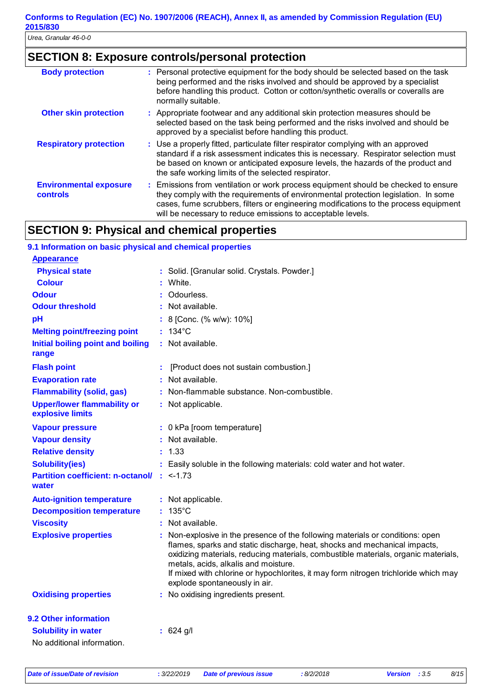### **SECTION 8: Exposure controls/personal protection**

| <b>Body protection</b>                    | : Personal protective equipment for the body should be selected based on the task<br>being performed and the risks involved and should be approved by a specialist<br>before handling this product. Cotton or cotton/synthetic overalls or coveralls are<br>normally suitable.                                                  |
|-------------------------------------------|---------------------------------------------------------------------------------------------------------------------------------------------------------------------------------------------------------------------------------------------------------------------------------------------------------------------------------|
| <b>Other skin protection</b>              | : Appropriate footwear and any additional skin protection measures should be<br>selected based on the task being performed and the risks involved and should be<br>approved by a specialist before handling this product.                                                                                                       |
| <b>Respiratory protection</b>             | : Use a properly fitted, particulate filter respirator complying with an approved<br>standard if a risk assessment indicates this is necessary. Respirator selection must<br>be based on known or anticipated exposure levels, the hazards of the product and<br>the safe working limits of the selected respirator.            |
| <b>Environmental exposure</b><br>controls | : Emissions from ventilation or work process equipment should be checked to ensure<br>they comply with the requirements of environmental protection legislation. In some<br>cases, fume scrubbers, filters or engineering modifications to the process equipment<br>will be necessary to reduce emissions to acceptable levels. |

### **SECTION 9: Physical and chemical properties**

| 9.1 Information on basic physical and chemical properties     |                                                                                                                                                                                                                                                                                                                                                                                                                 |
|---------------------------------------------------------------|-----------------------------------------------------------------------------------------------------------------------------------------------------------------------------------------------------------------------------------------------------------------------------------------------------------------------------------------------------------------------------------------------------------------|
| <b>Appearance</b>                                             |                                                                                                                                                                                                                                                                                                                                                                                                                 |
| <b>Physical state</b>                                         | : Solid. [Granular solid. Crystals. Powder.]                                                                                                                                                                                                                                                                                                                                                                    |
| <b>Colour</b>                                                 | : White.                                                                                                                                                                                                                                                                                                                                                                                                        |
| <b>Odour</b>                                                  | : Odourless.                                                                                                                                                                                                                                                                                                                                                                                                    |
| <b>Odour threshold</b>                                        | : Not available.                                                                                                                                                                                                                                                                                                                                                                                                |
| pH                                                            | : 8 [Conc. (% w/w): 10%]                                                                                                                                                                                                                                                                                                                                                                                        |
| <b>Melting point/freezing point</b>                           | $: 134^{\circ}$ C                                                                                                                                                                                                                                                                                                                                                                                               |
| Initial boiling point and boiling<br>range                    | : Not available.                                                                                                                                                                                                                                                                                                                                                                                                |
| <b>Flash point</b>                                            | [Product does not sustain combustion.]                                                                                                                                                                                                                                                                                                                                                                          |
| <b>Evaporation rate</b>                                       | : Not available.                                                                                                                                                                                                                                                                                                                                                                                                |
| <b>Flammability (solid, gas)</b>                              | : Non-flammable substance. Non-combustible.                                                                                                                                                                                                                                                                                                                                                                     |
| <b>Upper/lower flammability or</b><br>explosive limits        | : Not applicable.                                                                                                                                                                                                                                                                                                                                                                                               |
| <b>Vapour pressure</b>                                        | : 0 kPa [room temperature]                                                                                                                                                                                                                                                                                                                                                                                      |
| <b>Vapour density</b>                                         | : Not available.                                                                                                                                                                                                                                                                                                                                                                                                |
| <b>Relative density</b>                                       | : 1.33                                                                                                                                                                                                                                                                                                                                                                                                          |
| <b>Solubility(ies)</b>                                        | : Easily soluble in the following materials: cold water and hot water.                                                                                                                                                                                                                                                                                                                                          |
| <b>Partition coefficient: n-octanol/ : &lt;-1.73</b><br>water |                                                                                                                                                                                                                                                                                                                                                                                                                 |
| <b>Auto-ignition temperature</b>                              | : Not applicable.                                                                                                                                                                                                                                                                                                                                                                                               |
| <b>Decomposition temperature</b>                              | $135^{\circ}$ C                                                                                                                                                                                                                                                                                                                                                                                                 |
| <b>Viscosity</b>                                              | : Not available.                                                                                                                                                                                                                                                                                                                                                                                                |
| <b>Explosive properties</b>                                   | Non-explosive in the presence of the following materials or conditions: open<br>flames, sparks and static discharge, heat, shocks and mechanical impacts,<br>oxidizing materials, reducing materials, combustible materials, organic materials,<br>metals, acids, alkalis and moisture.<br>If mixed with chlorine or hypochlorites, it may form nitrogen trichloride which may<br>explode spontaneously in air. |
| <b>Oxidising properties</b>                                   | : No oxidising ingredients present.                                                                                                                                                                                                                                                                                                                                                                             |
| 9.2 Other information                                         |                                                                                                                                                                                                                                                                                                                                                                                                                 |
| <b>Solubility in water</b><br>No additional information.      | $: 624$ g/l                                                                                                                                                                                                                                                                                                                                                                                                     |
|                                                               |                                                                                                                                                                                                                                                                                                                                                                                                                 |

*Date of issue/Date of revision* **:** *3/22/2019 Date of previous issue : 8/2/2018 Version : 3.5 8/15*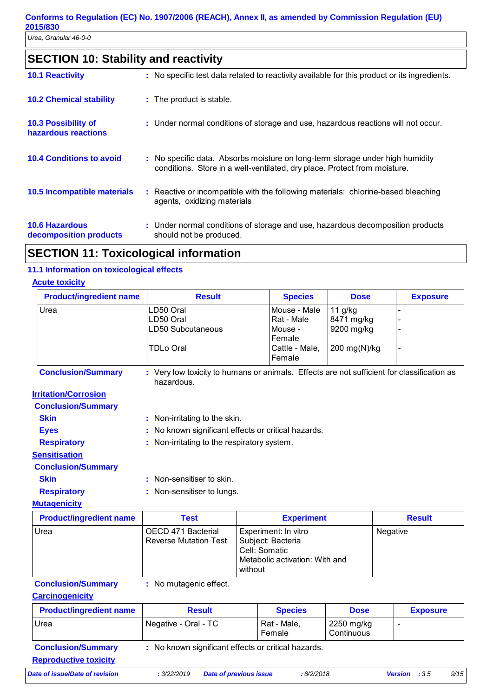# **SECTION 10: Stability and reactivity**

| <b>10.1 Reactivity</b>                            | : No specific test data related to reactivity available for this product or its ingredients.                                                               |
|---------------------------------------------------|------------------------------------------------------------------------------------------------------------------------------------------------------------|
| <b>10.2 Chemical stability</b>                    | : The product is stable.                                                                                                                                   |
| <b>10.3 Possibility of</b><br>hazardous reactions | : Under normal conditions of storage and use, hazardous reactions will not occur.                                                                          |
| <b>10.4 Conditions to avoid</b>                   | : No specific data. Absorbs moisture on long-term storage under high humidity<br>conditions. Store in a well-ventilated, dry place. Protect from moisture. |
| 10.5 Incompatible materials                       | : Reactive or incompatible with the following materials: chlorine-based bleaching<br>agents, oxidizing materials                                           |
| <b>10.6 Hazardous</b><br>decomposition products   | : Under normal conditions of storage and use, hazardous decomposition products<br>should not be produced.                                                  |

# **SECTION 11: Toxicological information**

### **11.1 Information on toxicological effects**

### **Acute toxicity**

| <b>Product/ingredient name</b> | <b>Result</b>                                                                                            |                                                                                                         | <b>Species</b>                                  | <b>Dose</b>                         |          | <b>Exposure</b>          |  |  |  |
|--------------------------------|----------------------------------------------------------------------------------------------------------|---------------------------------------------------------------------------------------------------------|-------------------------------------------------|-------------------------------------|----------|--------------------------|--|--|--|
| Urea                           | LD50 Oral<br>LD50 Oral<br>LD50 Subcutaneous                                                              |                                                                                                         | Mouse - Male<br>Rat - Male<br>Mouse -<br>Female | 11 g/kg<br>8471 mg/kg<br>9200 mg/kg |          |                          |  |  |  |
|                                | <b>TDLo Oral</b>                                                                                         |                                                                                                         | Cattle - Male,<br>Female                        | 200 mg(N)/kg                        |          |                          |  |  |  |
| <b>Conclusion/Summary</b>      | : Very low toxicity to humans or animals. Effects are not sufficient for classification as<br>hazardous. |                                                                                                         |                                                 |                                     |          |                          |  |  |  |
| <b>Irritation/Corrosion</b>    |                                                                                                          |                                                                                                         |                                                 |                                     |          |                          |  |  |  |
| <b>Conclusion/Summary</b>      |                                                                                                          |                                                                                                         |                                                 |                                     |          |                          |  |  |  |
| <b>Skin</b>                    | Non-irritating to the skin.                                                                              |                                                                                                         |                                                 |                                     |          |                          |  |  |  |
| <b>Eyes</b>                    | No known significant effects or critical hazards.                                                        |                                                                                                         |                                                 |                                     |          |                          |  |  |  |
| <b>Respiratory</b>             | Non-irritating to the respiratory system.                                                                |                                                                                                         |                                                 |                                     |          |                          |  |  |  |
| <b>Sensitisation</b>           |                                                                                                          |                                                                                                         |                                                 |                                     |          |                          |  |  |  |
| <b>Conclusion/Summary</b>      |                                                                                                          |                                                                                                         |                                                 |                                     |          |                          |  |  |  |
| <b>Skin</b>                    | : Non-sensitiser to skin.                                                                                |                                                                                                         |                                                 |                                     |          |                          |  |  |  |
| <b>Respiratory</b>             | Non-sensitiser to lungs.                                                                                 |                                                                                                         |                                                 |                                     |          |                          |  |  |  |
| <b>Mutagenicity</b>            |                                                                                                          |                                                                                                         |                                                 |                                     |          |                          |  |  |  |
| <b>Product/ingredient name</b> | <b>Test</b>                                                                                              | <b>Experiment</b><br><b>Result</b>                                                                      |                                                 |                                     |          |                          |  |  |  |
| Urea                           | OECD 471 Bacterial<br><b>Reverse Mutation Test</b>                                                       | Experiment: In vitro<br>Subject: Bacteria<br>Cell: Somatic<br>Metabolic activation: With and<br>without |                                                 |                                     | Negative |                          |  |  |  |
| <b>Conclusion/Summary</b>      | : No mutagenic effect.                                                                                   |                                                                                                         |                                                 |                                     |          |                          |  |  |  |
| <b>Carcinogenicity</b>         |                                                                                                          |                                                                                                         |                                                 |                                     |          |                          |  |  |  |
| <b>Product/ingredient name</b> | <b>Result</b>                                                                                            |                                                                                                         | <b>Species</b>                                  | <b>Dose</b>                         |          | <b>Exposure</b>          |  |  |  |
| Urea                           | Negative - Oral - TC                                                                                     |                                                                                                         | Rat - Male,<br>Female                           | 2250 mg/kg<br>Continuous            |          | $\overline{\phantom{a}}$ |  |  |  |

| <b>Conclusion/Summary</b>    | : No known significant effects or critical hazards. |
|------------------------------|-----------------------------------------------------|
| <b>Reproductive toxicity</b> |                                                     |

*Date of issue/Date of revision* **:** *3/22/2019 Date of previous issue : 8/2/2018 Version : 3.5 9/15*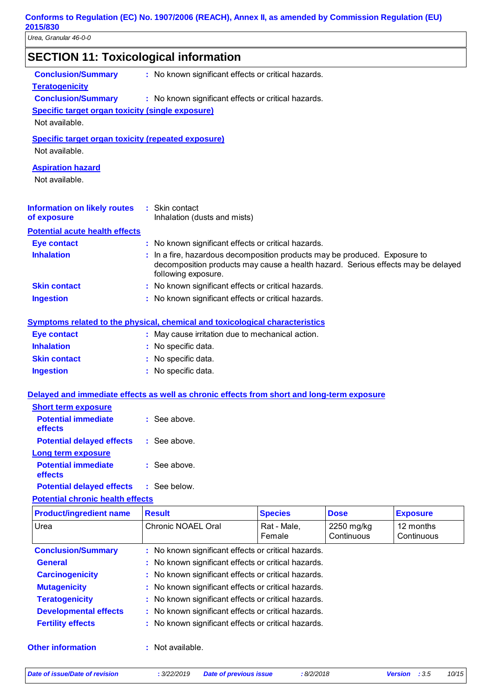| <b>SECTION 11: Toxicological information</b>              |                                                                                            |                                                                                                                                                              |             |                 |
|-----------------------------------------------------------|--------------------------------------------------------------------------------------------|--------------------------------------------------------------------------------------------------------------------------------------------------------------|-------------|-----------------|
| <b>Conclusion/Summary</b>                                 | : No known significant effects or critical hazards.                                        |                                                                                                                                                              |             |                 |
| <b>Teratogenicity</b>                                     |                                                                                            |                                                                                                                                                              |             |                 |
| <b>Conclusion/Summary</b>                                 | : No known significant effects or critical hazards.                                        |                                                                                                                                                              |             |                 |
| <b>Specific target organ toxicity (single exposure)</b>   |                                                                                            |                                                                                                                                                              |             |                 |
| Not available.                                            |                                                                                            |                                                                                                                                                              |             |                 |
| <b>Specific target organ toxicity (repeated exposure)</b> |                                                                                            |                                                                                                                                                              |             |                 |
| Not available.                                            |                                                                                            |                                                                                                                                                              |             |                 |
| <b>Aspiration hazard</b>                                  |                                                                                            |                                                                                                                                                              |             |                 |
| Not available.                                            |                                                                                            |                                                                                                                                                              |             |                 |
| <b>Information on likely routes</b><br>of exposure        | : Skin contact<br>Inhalation (dusts and mists)                                             |                                                                                                                                                              |             |                 |
| <b>Potential acute health effects</b>                     |                                                                                            |                                                                                                                                                              |             |                 |
| <b>Eye contact</b>                                        | : No known significant effects or critical hazards.                                        |                                                                                                                                                              |             |                 |
| <b>Inhalation</b>                                         | following exposure.                                                                        | In a fire, hazardous decomposition products may be produced. Exposure to<br>decomposition products may cause a health hazard. Serious effects may be delayed |             |                 |
| <b>Skin contact</b>                                       | : No known significant effects or critical hazards.                                        |                                                                                                                                                              |             |                 |
| <b>Ingestion</b>                                          | : No known significant effects or critical hazards.                                        |                                                                                                                                                              |             |                 |
|                                                           |                                                                                            |                                                                                                                                                              |             |                 |
|                                                           | Symptoms related to the physical, chemical and toxicological characteristics               |                                                                                                                                                              |             |                 |
| <b>Eye contact</b>                                        | : May cause irritation due to mechanical action.                                           |                                                                                                                                                              |             |                 |
| <b>Inhalation</b>                                         | : No specific data.                                                                        |                                                                                                                                                              |             |                 |
| <b>Skin contact</b>                                       | : No specific data.                                                                        | : No specific data.                                                                                                                                          |             |                 |
| <b>Ingestion</b>                                          |                                                                                            |                                                                                                                                                              |             |                 |
|                                                           | Delayed and immediate effects as well as chronic effects from short and long-term exposure |                                                                                                                                                              |             |                 |
| <b>Short term exposure</b>                                |                                                                                            |                                                                                                                                                              |             |                 |
| <b>Potential immediate</b><br>effects                     | $\therefore$ See above                                                                     |                                                                                                                                                              |             |                 |
| <b>Potential delayed effects</b>                          | : See above.                                                                               |                                                                                                                                                              |             |                 |
| <b>Long term exposure</b>                                 |                                                                                            |                                                                                                                                                              |             |                 |
| <b>Potential immediate</b><br>effects                     | : See above.                                                                               |                                                                                                                                                              |             |                 |
| <b>Potential delayed effects</b>                          | : See below.                                                                               |                                                                                                                                                              |             |                 |
| <b>Potential chronic health effects</b>                   |                                                                                            |                                                                                                                                                              |             |                 |
| <b>Product/ingredient name</b>                            | <b>Result</b>                                                                              | <b>Species</b>                                                                                                                                               | <b>Dose</b> | <b>Exposure</b> |
| Urea                                                      | <b>Chronic NOAEL Oral</b>                                                                  | Rat - Male,                                                                                                                                                  | 2250 mg/kg  | 12 months       |
|                                                           |                                                                                            | Female                                                                                                                                                       | Continuous  | Continuous      |
| <b>Conclusion/Summary</b>                                 | : No known significant effects or critical hazards.                                        |                                                                                                                                                              |             |                 |
| <b>General</b>                                            | No known significant effects or critical hazards.                                          |                                                                                                                                                              |             |                 |
| <b>Carcinogenicity</b>                                    | No known significant effects or critical hazards.                                          |                                                                                                                                                              |             |                 |
| <b>Mutagenicity</b>                                       | No known significant effects or critical hazards.                                          |                                                                                                                                                              |             |                 |
| <b>Teratogenicity</b>                                     | No known significant effects or critical hazards.                                          |                                                                                                                                                              |             |                 |
| <b>Developmental effects</b>                              | No known significant effects or critical hazards.                                          |                                                                                                                                                              |             |                 |
| <b>Fertility effects</b>                                  | : No known significant effects or critical hazards.                                        |                                                                                                                                                              |             |                 |

### **Other information :**

*Date of issue/Date of revision* **:** *3/22/2019 Date of previous issue : 8/2/2018 Version : 3.5 10/15*

: Not available.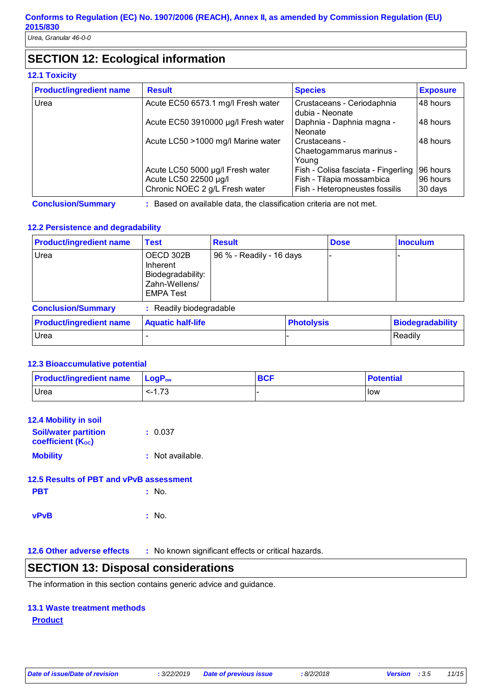# **SECTION 12: Ecological information**

### **12.1 Toxicity**

| <b>Product/ingredient name</b> | <b>Result</b>                                                                               | <b>Species</b>                                                                                     | <b>Exposure</b>                 |
|--------------------------------|---------------------------------------------------------------------------------------------|----------------------------------------------------------------------------------------------------|---------------------------------|
| Urea                           | Acute EC50 6573.1 mg/l Fresh water                                                          | Crustaceans - Ceriodaphnia<br>dubia - Neonate                                                      | 48 hours                        |
|                                | Acute EC50 3910000 µg/l Fresh water                                                         | Daphnia - Daphnia magna -<br>Neonate                                                               | 48 hours                        |
|                                | Acute LC50 >1000 mg/l Marine water                                                          | Crustaceans -<br>Chaetogammarus marinus -<br>Young                                                 | 48 hours                        |
|                                | Acute LC50 5000 µg/l Fresh water<br>Acute LC50 22500 µg/l<br>Chronic NOEC 2 g/L Fresh water | Fish - Colisa fasciata - Fingerling<br>Fish - Tilapia mossambica<br>Fish - Heteropneustes fossilis | 96 hours<br>96 hours<br>30 days |

**Conclusion/Summary :** Based on available data, the classification criteria are not met.

### **12.2 Persistence and degradability**

| <b>Product/ingredient name</b> | <b>Test</b>                                                                     | <b>Result</b>            |                   | <b>Dose</b> | <b>Inoculum</b>         |
|--------------------------------|---------------------------------------------------------------------------------|--------------------------|-------------------|-------------|-------------------------|
| Urea                           | OECD 302B<br>Inherent<br>Biodegradability:<br>Zahn-Wellens/<br><b>EMPA Test</b> | 96 % - Readily - 16 days |                   |             |                         |
| <b>Conclusion/Summary</b>      | : Readily biodegradable                                                         |                          |                   |             |                         |
| <b>Product/ingredient name</b> | <b>Aquatic half-life</b>                                                        |                          | <b>Photolysis</b> |             | <b>Biodegradability</b> |
| Urea                           |                                                                                 |                          |                   |             | Readily                 |

### **12.3 Bioaccumulative potential**

| <b>Product/ingredient name</b> | ∣ LogP <sub>ow</sub> | <b>BCF</b> | <b>Potential</b> |
|--------------------------------|----------------------|------------|------------------|
| <b>Urea</b>                    | $< -1.73$            |            | <b>low</b>       |

| <b>12.4 Mobility in soil</b>                            |                  |
|---------------------------------------------------------|------------------|
| <b>Soil/water partition</b><br><b>coefficient (Koc)</b> | : 0.037          |
| <b>Mobility</b>                                         | : Not available. |
| 12.5 Results of PBT and vPvB assessment                 |                  |
| <b>PBT</b>                                              | $:$ No.          |
|                                                         | No.              |

**12.6 Other adverse effects** : No known significant effects or critical hazards.

### **SECTION 13: Disposal considerations**

The information in this section contains generic advice and guidance.

### **13.1 Waste treatment methods**

### **Product**

*Date of issue/Date of revision* **:** *3/22/2019 Date of previous issue : 8/2/2018 Version : 3.5 11/15*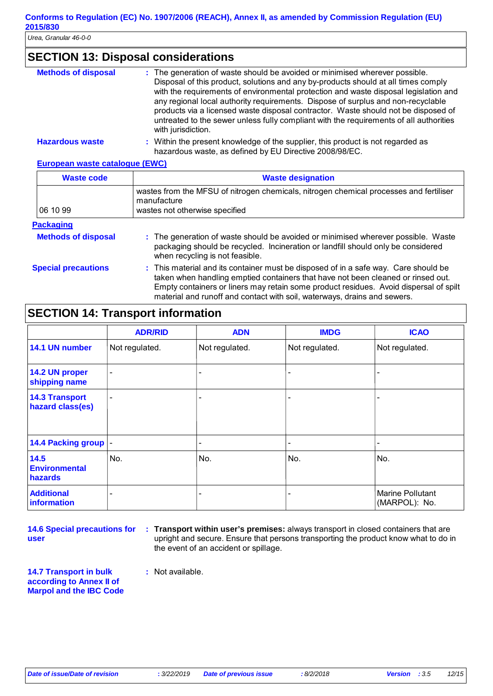### **SECTION 13: Disposal considerations**

| <b>Methods of disposal</b> | : The generation of waste should be avoided or minimised wherever possible.<br>Disposal of this product, solutions and any by-products should at all times comply<br>with the requirements of environmental protection and waste disposal legislation and<br>any regional local authority requirements. Dispose of surplus and non-recyclable<br>products via a licensed waste disposal contractor. Waste should not be disposed of<br>untreated to the sewer unless fully compliant with the requirements of all authorities<br>with jurisdiction. |
|----------------------------|-----------------------------------------------------------------------------------------------------------------------------------------------------------------------------------------------------------------------------------------------------------------------------------------------------------------------------------------------------------------------------------------------------------------------------------------------------------------------------------------------------------------------------------------------------|
| <b>Hazardous waste</b>     | : Within the present knowledge of the supplier, this product is not regarded as<br>hazardous waste, as defined by EU Directive 2008/98/EC.                                                                                                                                                                                                                                                                                                                                                                                                          |

#### **European waste catalogue (EWC)**

| <b>Waste code</b>          | <b>Waste designation</b>                                                                                                                                                                                                                                                                                                                     |
|----------------------------|----------------------------------------------------------------------------------------------------------------------------------------------------------------------------------------------------------------------------------------------------------------------------------------------------------------------------------------------|
| 06 10 99                   | wastes from the MFSU of nitrogen chemicals, nitrogen chemical processes and fertiliser<br>manufacture<br>wastes not otherwise specified                                                                                                                                                                                                      |
| <b>Packaging</b>           |                                                                                                                                                                                                                                                                                                                                              |
| <b>Methods of disposal</b> | : The generation of waste should be avoided or minimised wherever possible. Waste<br>packaging should be recycled. Incineration or landfill should only be considered<br>when recycling is not feasible.                                                                                                                                     |
| <b>Special precautions</b> | : This material and its container must be disposed of in a safe way. Care should be<br>taken when handling emptied containers that have not been cleaned or rinsed out.<br>Empty containers or liners may retain some product residues. Avoid dispersal of spilt<br>material and runoff and contact with soil, waterways, drains and sewers. |

## **SECTION 14: Transport information**

|                                           | <b>ADR/RID</b>           | <b>ADN</b>               | <b>IMDG</b>    | <b>ICAO</b>                       |
|-------------------------------------------|--------------------------|--------------------------|----------------|-----------------------------------|
| 14.1 UN number                            | Not regulated.           | Not regulated.           | Not regulated. | Not regulated.                    |
| 14.2 UN proper<br>shipping name           | $\overline{\phantom{a}}$ |                          |                |                                   |
| <b>14.3 Transport</b><br>hazard class(es) | $\overline{\phantom{a}}$ |                          |                |                                   |
| 14.4 Packing group  -                     |                          | $\overline{\phantom{0}}$ |                |                                   |
| 14.5<br><b>Environmental</b><br>hazards   | No.                      | No.                      | No.            | No.                               |
| <b>Additional</b><br>information          | $\overline{\phantom{0}}$ |                          |                | Marine Pollutant<br>(MARPOL): No. |

**14.6 Special precautions for user**

**Transport within user's premises:** always transport in closed containers that are **:** upright and secure. Ensure that persons transporting the product know what to do in the event of an accident or spillage.

**14.7 Transport in bulk according to Annex II of Marpol and the IBC Code** **:** Not available.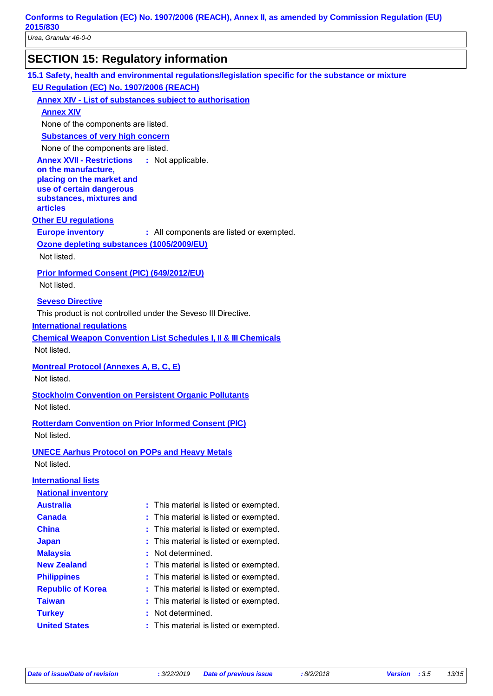| 2015/830<br>Urea, Granular 46-0-0                       |                                                                                                     |
|---------------------------------------------------------|-----------------------------------------------------------------------------------------------------|
|                                                         |                                                                                                     |
|                                                         | <b>SECTION 15: Regulatory information</b>                                                           |
|                                                         | 15.1 Safety, health and environmental regulations/legislation specific for the substance or mixture |
| EU Regulation (EC) No. 1907/2006 (REACH)                |                                                                                                     |
|                                                         | <b>Annex XIV - List of substances subject to authorisation</b>                                      |
| <b>Annex XIV</b>                                        |                                                                                                     |
| None of the components are listed.                      |                                                                                                     |
| <b>Substances of very high concern</b>                  |                                                                                                     |
| None of the components are listed.                      |                                                                                                     |
| <b>Annex XVII - Restrictions</b><br>on the manufacture, | : Not applicable.                                                                                   |
| placing on the market and                               |                                                                                                     |
| use of certain dangerous                                |                                                                                                     |
| substances, mixtures and<br><b>articles</b>             |                                                                                                     |
| <b>Other EU regulations</b>                             |                                                                                                     |
| <b>Europe inventory</b>                                 | : All components are listed or exempted.                                                            |
| Ozone depleting substances (1005/2009/EU)               |                                                                                                     |
| Not listed.                                             |                                                                                                     |
|                                                         |                                                                                                     |
| Prior Informed Consent (PIC) (649/2012/EU)              |                                                                                                     |
| Not listed.                                             |                                                                                                     |
| <b>Seveso Directive</b>                                 |                                                                                                     |
|                                                         | This product is not controlled under the Seveso III Directive.                                      |
| <b>International regulations</b>                        |                                                                                                     |
|                                                         | <b>Chemical Weapon Convention List Schedules I, II &amp; III Chemicals</b>                          |
| Not listed.                                             |                                                                                                     |
| <b>Montreal Protocol (Annexes A, B, C, E)</b>           |                                                                                                     |
| Not listed.                                             |                                                                                                     |
|                                                         | <b>Stockholm Convention on Persistent Organic Pollutants</b>                                        |
| Not listed.                                             |                                                                                                     |
|                                                         |                                                                                                     |
|                                                         | <b>Rotterdam Convention on Prior Informed Consent (PIC)</b>                                         |
| Not listed.                                             |                                                                                                     |
|                                                         | <b>UNECE Aarhus Protocol on POPs and Heavy Metals</b>                                               |
| Not listed.                                             |                                                                                                     |
| <b>International lists</b>                              |                                                                                                     |
| <b>National inventory</b>                               |                                                                                                     |
| <b>Australia</b>                                        | : This material is listed or exempted.                                                              |
| <b>Canada</b>                                           | This material is listed or exempted.                                                                |
| <b>China</b>                                            | This material is listed or exempted.                                                                |
| <b>Japan</b>                                            | This material is listed or exempted.                                                                |
| <b>Malaysia</b>                                         | Not determined.                                                                                     |
| <b>New Zealand</b>                                      | This material is listed or exempted.                                                                |
| <b>Philippines</b>                                      | This material is listed or exempted.                                                                |
| <b>Republic of Korea</b>                                | This material is listed or exempted.                                                                |

**United States : This material is listed or exempted.**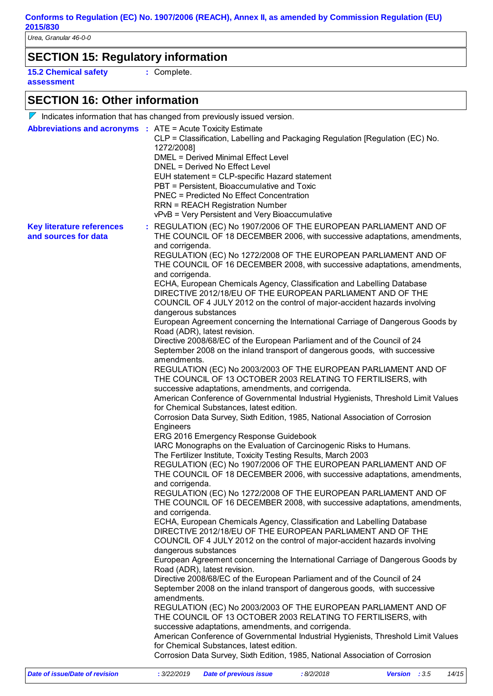# **SECTION 15: Regulatory information**

**15.2 Chemical safety assessment**

**:** Complete.

### **SECTION 16: Other information**

|                                                          | $\triangledown$ Indicates information that has changed from previously issued version.                                                                                                                                                                                                                                                                                                                                                                                                                                                                                                                                                                                                                                                                                                                                                                                                                                                                                                                                                                                                                                                                                                                                                                                                                                                                                                                                                                                                                                                                                                                                                                                                                                                                                                                                                                                                                                                                                                                                                                                                                                                                                                                                                                                                                                                                                                                                                                                                                                                                                                                                                                                                                                                                                     |
|----------------------------------------------------------|----------------------------------------------------------------------------------------------------------------------------------------------------------------------------------------------------------------------------------------------------------------------------------------------------------------------------------------------------------------------------------------------------------------------------------------------------------------------------------------------------------------------------------------------------------------------------------------------------------------------------------------------------------------------------------------------------------------------------------------------------------------------------------------------------------------------------------------------------------------------------------------------------------------------------------------------------------------------------------------------------------------------------------------------------------------------------------------------------------------------------------------------------------------------------------------------------------------------------------------------------------------------------------------------------------------------------------------------------------------------------------------------------------------------------------------------------------------------------------------------------------------------------------------------------------------------------------------------------------------------------------------------------------------------------------------------------------------------------------------------------------------------------------------------------------------------------------------------------------------------------------------------------------------------------------------------------------------------------------------------------------------------------------------------------------------------------------------------------------------------------------------------------------------------------------------------------------------------------------------------------------------------------------------------------------------------------------------------------------------------------------------------------------------------------------------------------------------------------------------------------------------------------------------------------------------------------------------------------------------------------------------------------------------------------------------------------------------------------------------------------------------------------|
|                                                          | <b>Abbreviations and acronyms : ATE = Acute Toxicity Estimate</b><br>CLP = Classification, Labelling and Packaging Regulation [Regulation (EC) No.<br>1272/2008]<br><b>DMEL = Derived Minimal Effect Level</b><br><b>DNEL = Derived No Effect Level</b><br>EUH statement = CLP-specific Hazard statement<br>PBT = Persistent, Bioaccumulative and Toxic<br><b>PNEC = Predicted No Effect Concentration</b><br><b>RRN = REACH Registration Number</b><br>vPvB = Very Persistent and Very Bioaccumulative                                                                                                                                                                                                                                                                                                                                                                                                                                                                                                                                                                                                                                                                                                                                                                                                                                                                                                                                                                                                                                                                                                                                                                                                                                                                                                                                                                                                                                                                                                                                                                                                                                                                                                                                                                                                                                                                                                                                                                                                                                                                                                                                                                                                                                                                    |
| <b>Key literature references</b><br>and sources for data | : REGULATION (EC) No 1907/2006 OF THE EUROPEAN PARLIAMENT AND OF<br>THE COUNCIL OF 18 DECEMBER 2006, with successive adaptations, amendments,<br>and corrigenda.<br>REGULATION (EC) No 1272/2008 OF THE EUROPEAN PARLIAMENT AND OF<br>THE COUNCIL OF 16 DECEMBER 2008, with successive adaptations, amendments,<br>and corrigenda.<br>ECHA, European Chemicals Agency, Classification and Labelling Database<br>DIRECTIVE 2012/18/EU OF THE EUROPEAN PARLIAMENT AND OF THE<br>COUNCIL OF 4 JULY 2012 on the control of major-accident hazards involving<br>dangerous substances<br>European Agreement concerning the International Carriage of Dangerous Goods by<br>Road (ADR), latest revision.<br>Directive 2008/68/EC of the European Parliament and of the Council of 24<br>September 2008 on the inland transport of dangerous goods, with successive<br>amendments.<br>REGULATION (EC) No 2003/2003 OF THE EUROPEAN PARLIAMENT AND OF<br>THE COUNCIL OF 13 OCTOBER 2003 RELATING TO FERTILISERS, with<br>successive adaptations, amendments, and corrigenda.<br>American Conference of Governmental Industrial Hygienists, Threshold Limit Values<br>for Chemical Substances, latest edition.<br>Corrosion Data Survey, Sixth Edition, 1985, National Association of Corrosion<br>Engineers<br>ERG 2016 Emergency Response Guidebook<br>IARC Monographs on the Evaluation of Carcinogenic Risks to Humans.<br>The Fertilizer Institute, Toxicity Testing Results, March 2003<br>REGULATION (EC) No 1907/2006 OF THE EUROPEAN PARLIAMENT AND OF<br>THE COUNCIL OF 18 DECEMBER 2006, with successive adaptations, amendments,<br>and corrigenda.<br>REGULATION (EC) No 1272/2008 OF THE EUROPEAN PARLIAMENT AND OF<br>THE COUNCIL OF 16 DECEMBER 2008, with successive adaptations, amendments,<br>and corrigenda.<br>ECHA, European Chemicals Agency, Classification and Labelling Database<br>DIRECTIVE 2012/18/EU OF THE EUROPEAN PARLIAMENT AND OF THE<br>COUNCIL OF 4 JULY 2012 on the control of major-accident hazards involving<br>dangerous substances<br>European Agreement concerning the International Carriage of Dangerous Goods by<br>Road (ADR), latest revision.<br>Directive 2008/68/EC of the European Parliament and of the Council of 24<br>September 2008 on the inland transport of dangerous goods, with successive<br>amendments.<br>REGULATION (EC) No 2003/2003 OF THE EUROPEAN PARLIAMENT AND OF<br>THE COUNCIL OF 13 OCTOBER 2003 RELATING TO FERTILISERS, with<br>successive adaptations, amendments, and corrigenda.<br>American Conference of Governmental Industrial Hygienists, Threshold Limit Values<br>for Chemical Substances, latest edition.<br>Corrosion Data Survey, Sixth Edition, 1985, National Association of Corrosion |
|                                                          |                                                                                                                                                                                                                                                                                                                                                                                                                                                                                                                                                                                                                                                                                                                                                                                                                                                                                                                                                                                                                                                                                                                                                                                                                                                                                                                                                                                                                                                                                                                                                                                                                                                                                                                                                                                                                                                                                                                                                                                                                                                                                                                                                                                                                                                                                                                                                                                                                                                                                                                                                                                                                                                                                                                                                                            |